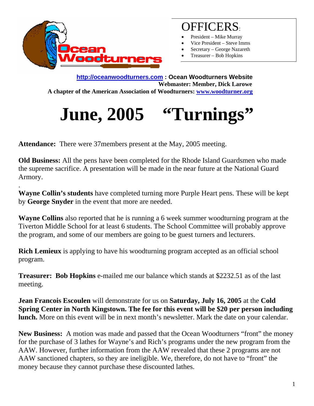

.

#### OFFICERS:

- President Mike Murray
- Vice President Steve Imms
- Secretary George Nazareth
- Treasurer Bob Hopkins

**http://oceanwoodturners.com : Ocean Woodturners Website Webmaster: Member, Dick Larowe A chapter of the American Association of Woodturners: www.woodturner.org** 

# June, 2005 "Turnings"

**Attendance:** There were 37members present at the May, 2005 meeting.

**Old Business:** All the pens have been completed for the Rhode Island Guardsmen who made the supreme sacrifice. A presentation will be made in the near future at the National Guard Armory.

**Wayne Collin's students** have completed turning more Purple Heart pens. These will be kept by **George Snyder** in the event that more are needed.

**Wayne Collins** also reported that he is running a 6 week summer woodturning program at the Tiverton Middle School for at least 6 students. The School Committee will probably approve the program, and some of our members are going to be guest turners and lecturers.

**Rich Lemieux** is applying to have his woodturning program accepted as an official school program.

**Treasurer: Bob Hopkins** e-mailed me our balance which stands at \$2232.51 as of the last meeting.

**Jean Francois Escoulen** will demonstrate for us on **Saturday, July 16, 2005** at the **Cold Spring Center in North Kingstown. The fee for this event will be \$20 per person including lunch.** More on this event will be in next month's newsletter. Mark the date on your calendar.

**New Business:** A motion was made and passed that the Ocean Woodturners "front" the money for the purchase of 3 lathes for Wayne's and Rich's programs under the new program from the AAW. However, further information from the AAW revealed that these 2 programs are not AAW sanctioned chapters, so they are ineligible. We, therefore, do not have to "front" the money because they cannot purchase these discounted lathes.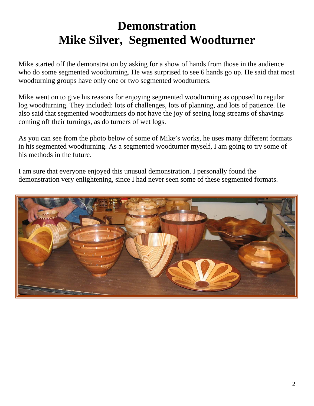## **Demonstration Mike Silver, Segmented Woodturner**

Mike started off the demonstration by asking for a show of hands from those in the audience who do some segmented woodturning. He was surprised to see 6 hands go up. He said that most woodturning groups have only one or two segmented woodturners.

Mike went on to give his reasons for enjoying segmented woodturning as opposed to regular log woodturning. They included: lots of challenges, lots of planning, and lots of patience. He also said that segmented woodturners do not have the joy of seeing long streams of shavings coming off their turnings, as do turners of wet logs.

As you can see from the photo below of some of Mike's works, he uses many different formats in his segmented woodturning. As a segmented woodturner myself, I am going to try some of his methods in the future.

I am sure that everyone enjoyed this unusual demonstration. I personally found the demonstration very enlightening, since I had never seen some of these segmented formats.

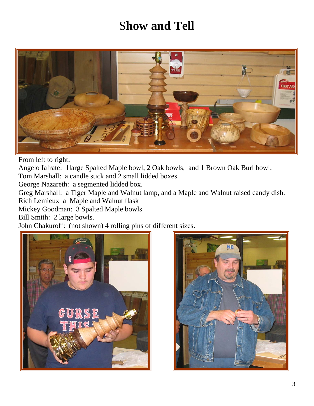### S**how and Tell**



From left to right:

Angelo Iafrate: 1large Spalted Maple bowl, 2 Oak bowls, and 1 Brown Oak Burl bowl.

Tom Marshall: a candle stick and 2 small lidded boxes.

George Nazareth: a segmented lidded box.

Greg Marshall: a Tiger Maple and Walnut lamp, and a Maple and Walnut raised candy dish.

Rich Lemieux a Maple and Walnut flask

Mickey Goodman: 3 Spalted Maple bowls.

Bill Smith: 2 large bowls.

John Chakuroff: (not shown) 4 rolling pins of different sizes.